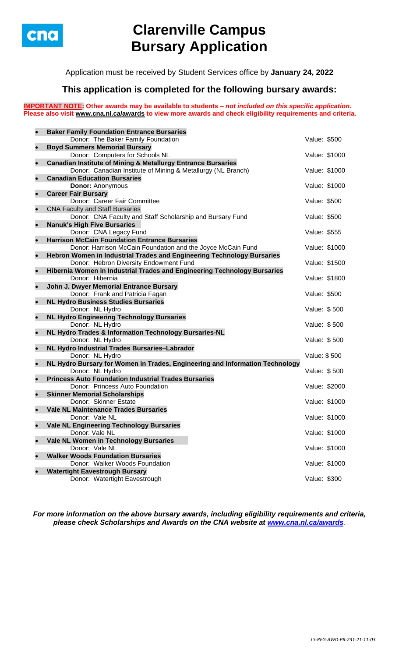

# **Clarenville Campus Bursary Application**

Application must be received by Student Services office by **January 24, 2022**

## **This application is completed for the following bursary awards:**

**IMPORTANT NOTE: Other awards may be available to students –** *not included on this specific application***. Please also visit [www.cna.nl.ca/awards](http://www.cna.nl.ca/awards) to view more awards and check eligibility requirements and criteria.**

| $\bullet$ | <b>Baker Family Foundation Entrance Bursaries</b>                            |               |               |
|-----------|------------------------------------------------------------------------------|---------------|---------------|
|           | Donor: The Baker Family Foundation                                           | Value: \$500  |               |
| $\bullet$ | <b>Boyd Summers Memorial Bursary</b>                                         |               |               |
|           | Donor: Computers for Schools NL                                              |               | Value: \$1000 |
| $\bullet$ | <b>Canadian Institute of Mining &amp; Metallurgy Entrance Bursaries</b>      |               |               |
|           | Donor: Canadian Institute of Mining & Metallurgy (NL Branch)                 | Value: \$1000 |               |
| $\bullet$ | <b>Canadian Education Bursaries</b>                                          |               |               |
|           | <b>Donor: Anonymous</b>                                                      | Value: \$1000 |               |
| $\bullet$ | <b>Career Fair Bursary</b>                                                   |               |               |
|           | Donor: Career Fair Committee                                                 | Value: \$500  |               |
| $\bullet$ | <b>CNA Faculty and Staff Bursaries</b>                                       |               |               |
|           | Donor: CNA Faculty and Staff Scholarship and Bursary Fund                    | Value: \$500  |               |
| $\bullet$ | <b>Nanuk's High Five Bursaries</b>                                           |               |               |
|           | Donor: CNA Legacy Fund                                                       | Value: \$555  |               |
| $\bullet$ | <b>Harrison McCain Foundation Entrance Bursaries</b>                         |               |               |
|           | Donor: Harrison McCain Foundation and the Joyce McCain Fund                  | Value: \$1000 |               |
| $\bullet$ | Hebron Women in Industrial Trades and Engineering Technology Bursaries       |               |               |
|           | Donor: Hebron Diversity Endowment Fund                                       | Value: \$1500 |               |
| $\bullet$ | Hibernia Women in Industrial Trades and Engineering Technology Bursaries     |               |               |
|           | Donor: Hibernia                                                              | Value: \$1800 |               |
| $\bullet$ | John J. Dwyer Memorial Entrance Bursary                                      |               |               |
|           | Donor: Frank and Patricia Fagan                                              | Value: \$500  |               |
| $\bullet$ | <b>NL Hydro Business Studies Bursaries</b><br>Donor: NL Hydro                | Value: \$500  |               |
| $\bullet$ | <b>NL Hydro Engineering Technology Bursaries</b>                             |               |               |
|           | Donor: NL Hydro                                                              | Value: \$500  |               |
| $\bullet$ | NL Hydro Trades & Information Technology Bursaries-NL                        |               |               |
|           | Donor: NL Hydro                                                              | Value: \$500  |               |
| $\bullet$ | NL Hydro Industrial Trades Bursaries-Labrador                                |               |               |
|           | Donor: NL Hydro                                                              | Value: \$500  |               |
| $\bullet$ | NL Hydro Bursary for Women in Trades, Engineering and Information Technology |               |               |
|           | Donor: NL Hydro                                                              | Value: \$500  |               |
| $\bullet$ | <b>Princess Auto Foundation Industrial Trades Bursaries</b>                  |               |               |
|           | Donor: Princess Auto Foundation                                              | Value: \$2000 |               |
| $\bullet$ | <b>Skinner Memorial Scholarships</b>                                         |               |               |
|           | Donor: Skinner Estate                                                        | Value: \$1000 |               |
|           | <b>Vale NL Maintenance Trades Bursaries</b>                                  |               |               |
|           | Donor: Vale NL                                                               | Value: \$1000 |               |
|           | <b>Vale NL Engineering Technology Bursaries</b>                              |               |               |
|           | Donor: Vale NL                                                               |               | Value: \$1000 |
| $\bullet$ | Vale NL Women in Technology Bursaries                                        |               |               |
|           | Donor: Vale NL                                                               |               | Value: \$1000 |
| $\bullet$ | <b>Walker Woods Foundation Bursaries</b>                                     |               |               |
|           | Donor: Walker Woods Foundation                                               | Value: \$1000 |               |
|           | <b>Watertight Eavestrough Bursary</b>                                        |               |               |
|           | Donor: Watertight Eavestrough                                                | Value: \$300  |               |
|           |                                                                              |               |               |

*For more information on the above bursary awards, including eligibility requirements and criteria, please check Scholarships and Awards on the CNA website at [www.cna.nl.ca/awards](http://www.cna.nl.ca/awards).*